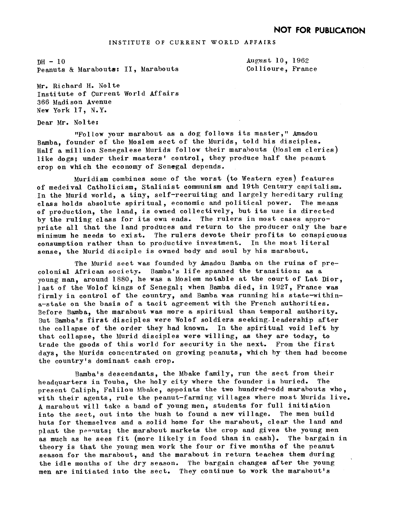$DH - 10$ Peanuts & Marabouts: II, Marabouts August 10, 1962 Collioure, France

Mr. Richard H. Nolte Institute of Current World Affairs 366 Madison Avenue New York 17, N.Y.

Dear Mr. Nolte

"Follow your marabout as a dog follows its master," Amadou Bamba, founder of the Moslem sect of the Murids, told his disciples. Half a million Senegalese Murids follow their marabouts (Moslem clerics) like dogs; under their masters' control, they produce half the peanut crop on which the economy of Senegal depends.

Muridism combines some of the worst (to Western eyes) features of medeival Catholicism, Stalinist communism and. 19th Century capitalism. In the Murid world, a tiny, self-recruiting and. largely hereditary ruling class holds absolute spiritual, economic and political power. The means of production, the land, is owned collectively, but its use is directed by the ruling class for its own ends. The rulers in most cases appropriate all that the land produces and return to the producer only the bare minimum he needs to exist. The rulers devote their profits to conspicuous consumption rather than to productive investment. In the most literal sense, the Murid disciple is owned body and soul by his marabout.

The Murid sect was founded by Amadou Bamba on the ruins of precolonial African society. Bamba's life spanned, the transitions as a young man, around  $1880$ , he was a Moslem notable at the court of Lat Dior, last of the Wolof kings of Senegal; when Bamba died, in 1927, France was firmly in control of the country, and Bamba was running his state-withina-state on the basis of a tacit agreement with the French authorities. Before Bamba, the marabout was more a spiritual than temporal authority. But Bamba's first disciples were Wolof soldiers seeking leadership after the collapse of the order they had known. In the spiritual void left by that collapse, the Murid disciples were willing, as they are today, to trade the goods of this world for security in the next. From the first days, the Murids concentrated on growing peanuts, which by then had become the country's dominant cash crop.

Bamba's descendants, the Mbake family, run the sect from their headquarters in Touba, the holy city where the founder is buried. The present Caliph, Falilou Mbake, appoints the two hundred-odd marabouts who, with their agents, rule the peanut-farming villages where most Murids live. A marabout will take a band of young men, students for full initiation into the sect, out into the bush to found a new village. The men build huts for themselves and a solid home for the marabout, clear the land and plant the pearuts; the marabout markets the crop and gives the young men as much as he sees fit (more likely in food than in cash). The bargain in theory is that the young men work the four or five months of the peanut season for the marabout, and. the marabout in return teaches them during the idle months of the dry season. The bargain changes after the young men are initiated into the sect. They continue to work the marabout's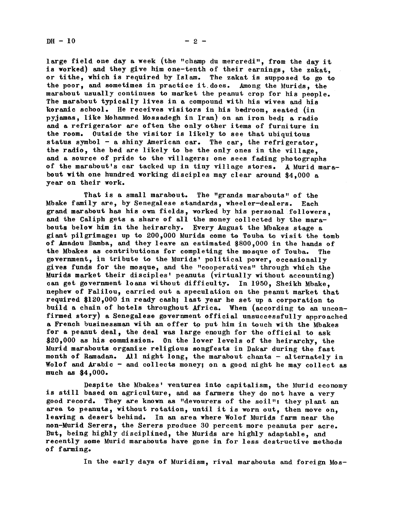large field one day a week (the "champ du mercredi", from the day it is worked) and they give him one-tenth of their earnings, the zakat, or tithe, which is required by Islam. The zakat is supposed to go to the poor, and sometimes in practice it does. Among the Murids, the marabout usually continues to market the peanut crop for his people. The marabout typically lives in a compound with his wives and his koranic school. He receives visitors in his bedroom, seated (in pyjamas, like Mohammed Mossadegh in Iran) on an iron bed; a radio and a refrigerator are often the only other items of furniture in the room. Outside the visitor is likely to see that ubiquitous status symbol  $-$  a shiny American car. The car, the refrigerator. the radio, the bed are likely to be the only ones in the village, and a source of pride to the villagers: one sees fading photographs of the marabout's car tacked up in tiny village stores. A Murid marabout with one hundred working disciples may clear around \$4,000 a year on their work.

That is a small marabout. The "grands marabouts <sup>w</sup> of the Mbake family are, by Senegalese standards, wheeler-dealers. Each grand marabout has his own fields, worked by his personal followers, and the Caliph gets a share of all the money collected by the marabouts below him in the heirarchy. Every August the Mbakes stage a giant pilgrimage: up to 200,000 Murids come to Touba to visit the tomb of Amadou Bamba, and they leave an estimated \$800,000 in the hands of the Mbakes as contributions for completing the mosque of Touba. The government, in tribute to the Murids' political power, occasionally gives funds for the mosque, and the "cooperatives" through which the Murids market their disciples' peanuts (virtually without accounting) can get government loans without difficulty. In 1950, Sheikh Mbake, nephew of Falilou, carried out a speculation on the peanut market that required \$120,000 in ready cash; last year he set up a corporation to build a chain of hotels throughout Africa. When (according to an unconfirmed story) a Senegalese government official unsuccessfully approached a French businessman with an offer to put him in touch with the Mbakes for a peanut deal, the deal was large enough for the official to ask \$20,000 as his commission. On the lower levels of the heirarchy, the Murid marabouts organize religious songfests in Dakar during the fast month of Ramadan. All night long, the marabout chants - alternately in Wolof and Arabic - and collects money; on a good night he may collect as much as \$4,000.

Despite the Mbakes' ventures into capitalism, the Murid economy is still based on agriculture, and as farmers they do not have a very good record. They are known as "devourers of the soil": they plant an area to peanuts, without rotation, until it is worn out, then move on, leaving a desert behind. In an area where Wolof Murids farm near the non-Murid Serers, the Serers produce 30 percent more peanuts per acre. But, being highly disciplined, the lurids are highly adaptable, and recently some Murid marabouts have gone in for less destructive methods of farming.

In the early days of Muridism, rival marabouts and foreign Mos-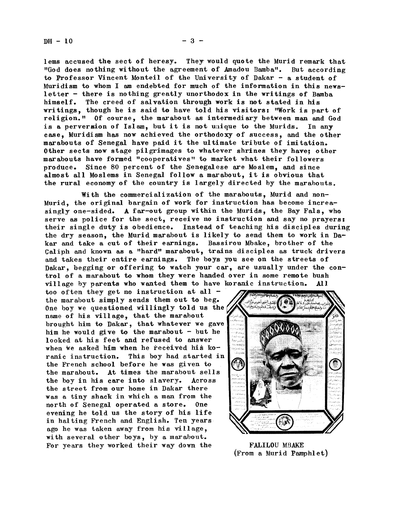lems accused the sect of heresy. They would quote the Murid remark that "God. does nothing without the agreement of Amadou Bamba". But according to Professor Vincent Monteil of the University of Dakar - a student of Muridism to whom <sup>I</sup> am endebted for much of the information in this newsletter - there is nothing greatly unorthodox in the writings of Bamba himself. The creed of salvation through work is not stated in his writings, though he is said to have told his visitors: "Work is part of religion." Of course, the marabout as intermediary between man and. God is a perversion of Islam, but it is not unique to the Murids. In any case. Muridism has now achieved the orthodoxy of success, and the other marabouts of Senegal have paid it the ultimate tribute of imitation. Other sects now stage pilgrimages to whatever shrines they have; other marabouts have formed "cooperatives" to market what their followers produce. Since 80 percent of the Senegalese are Moslem, and since almost all Moslems in Senegal follow a marabout, it is obvious that the rural economy of the country is largely directed by the marabouts.

With the commercialization of the marabouts, Murid and non-Murid, the original bargain of work for instruction has become increasingly one-sided. A far-out group within the Murids, the Bay Fals, who serve as police for the sect, receive no instruction and say no prayers: their singIe duty is obedience. Instead of teaching his disciples during the dry season, the Murid marabout is likely to send them to work in  $Da$ kar mud take a cut of their earnings. Bassirou Mbake, brother of the Caliph mud known as a "hard" marabout, trains disciples as truck drivers and takes their entire earnings. The boys you see on the streets of Dakar, begging or offering to watch your car, are usually under the control of a marabout to whom they were handed over ia some remote bush village by parents who wanted them to have koranic instruction. All

too often they get no instruction at all the marabout simply sends them out to beg. One boy we questioned willingly told us the name of his village, that the marabout brought him to Dakar, that whatever we gave him he would give to the marabout  $-$  but he looked at his feet and refused to answer when we asked him when he received his koranic instruction. This boy had started in the French school before he was given to the marabout. At times the marabout sells the boy in his care into slavery. Across the street from our home in Dakar there was a tiny shack in which a man from the north of Senegal operated a store, One evening he told us the story of his life in halting French and English, Ten years. ago he was taken away from his village with several other boys, by a marabout. For years they worked their way down the FALILOU MBAKE



(From a Murid Pamphlet)